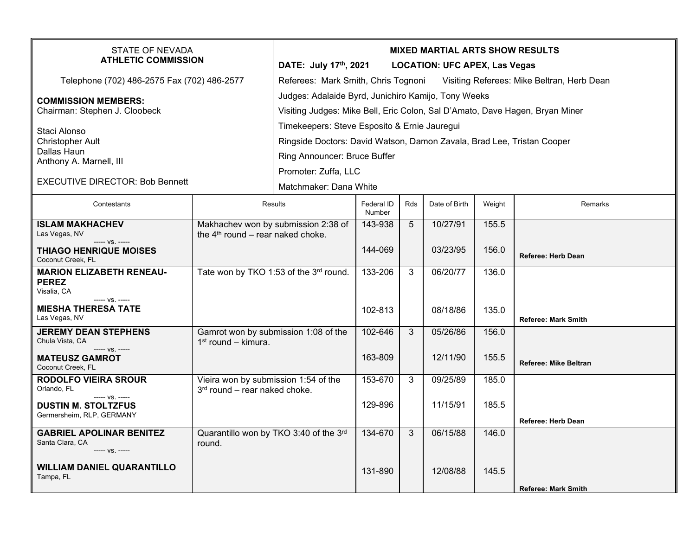| <b>STATE OF NEVADA</b><br><b>ATHLETIC COMMISSION</b>                  |                                                                                      | <b>MIXED MARTIAL ARTS SHOW RESULTS</b><br>DATE: July 17th, 2021<br><b>LOCATION: UFC APEX, Las Vegas</b>                             |                      |              |               |        |                              |  |  |
|-----------------------------------------------------------------------|--------------------------------------------------------------------------------------|-------------------------------------------------------------------------------------------------------------------------------------|----------------------|--------------|---------------|--------|------------------------------|--|--|
| Telephone (702) 486-2575 Fax (702) 486-2577                           |                                                                                      | Referees: Mark Smith, Chris Tognoni<br>Visiting Referees: Mike Beltran, Herb Dean                                                   |                      |              |               |        |                              |  |  |
| <b>COMMISSION MEMBERS:</b><br>Chairman: Stephen J. Cloobeck           |                                                                                      | Judges: Adalaide Byrd, Junichiro Kamijo, Tony Weeks<br>Visiting Judges: Mike Bell, Eric Colon, Sal D'Amato, Dave Hagen, Bryan Miner |                      |              |               |        |                              |  |  |
| Staci Alonso<br><b>Christopher Ault</b><br>Dallas Haun                |                                                                                      | Timekeepers: Steve Esposito & Ernie Jauregui<br>Ringside Doctors: David Watson, Damon Zavala, Brad Lee, Tristan Cooper              |                      |              |               |        |                              |  |  |
| Anthony A. Marnell, III                                               |                                                                                      | Ring Announcer: Bruce Buffer                                                                                                        |                      |              |               |        |                              |  |  |
| <b>EXECUTIVE DIRECTOR: Bob Bennett</b>                                |                                                                                      | Promoter: Zuffa, LLC<br>Matchmaker: Dana White                                                                                      |                      |              |               |        |                              |  |  |
| Contestants                                                           |                                                                                      | <b>Results</b>                                                                                                                      | Federal ID<br>Number | Rds          | Date of Birth | Weight | <b>Remarks</b>               |  |  |
| <b>ISLAM MAKHACHEV</b><br>Las Vegas, NV                               | Makhachev won by submission 2:38 of<br>the 4 <sup>th</sup> round - rear naked choke. |                                                                                                                                     | 143-938              | 5            | 10/27/91      | 155.5  |                              |  |  |
| ----- VS. -----<br><b>THIAGO HENRIQUE MOISES</b><br>Coconut Creek, FL |                                                                                      |                                                                                                                                     | 144-069              |              | 03/23/95      | 156.0  | <b>Referee: Herb Dean</b>    |  |  |
| <b>MARION ELIZABETH RENEAU-</b><br><b>PEREZ</b><br>Visalia, CA        | Tate won by TKO 1:53 of the 3rd round.                                               |                                                                                                                                     | 133-206              | 3            | 06/20/77      | 136.0  |                              |  |  |
| ----- VS. -----<br><b>MIESHA THERESA TATE</b><br>Las Vegas, NV        |                                                                                      |                                                                                                                                     | 102-813              |              | 08/18/86      | 135.0  | <b>Referee: Mark Smith</b>   |  |  |
| <b>JEREMY DEAN STEPHENS</b><br>Chula Vista, CA<br>----- VS. -----     | Gamrot won by submission 1:08 of the<br>$1st$ round – kimura.                        |                                                                                                                                     | 102-646              | $\mathbf{3}$ | 05/26/86      | 156.0  |                              |  |  |
| <b>MATEUSZ GAMROT</b><br>Coconut Creek, FL                            |                                                                                      |                                                                                                                                     | 163-809              |              | 12/11/90      | 155.5  | <b>Referee: Mike Beltran</b> |  |  |
| <b>RODOLFO VIEIRA SROUR</b><br>Orlando, FL<br>----- VS. -----         | Vieira won by submission 1:54 of the<br>$3rd$ round – rear naked choke.              |                                                                                                                                     | 153-670              | 3            | 09/25/89      | 185.0  |                              |  |  |
| <b>DUSTIN M. STOLTZFUS</b><br>Germersheim, RLP, GERMANY               |                                                                                      |                                                                                                                                     | 129-896              |              | 11/15/91      | 185.5  | <b>Referee: Herb Dean</b>    |  |  |
| <b>GABRIEL APOLINAR BENITEZ</b>                                       | Quarantillo won by TKO 3:40 of the 3rd                                               |                                                                                                                                     | 134-670              | $\mathbf{3}$ | 06/15/88      | 146.0  |                              |  |  |
| Santa Clara, CA<br>----- VS. -----                                    | round.                                                                               |                                                                                                                                     |                      |              |               |        |                              |  |  |
| <b>WILLIAM DANIEL QUARANTILLO</b><br>Tampa, FL                        |                                                                                      |                                                                                                                                     | 131-890              |              | 12/08/88      | 145.5  | <b>Referee: Mark Smith</b>   |  |  |